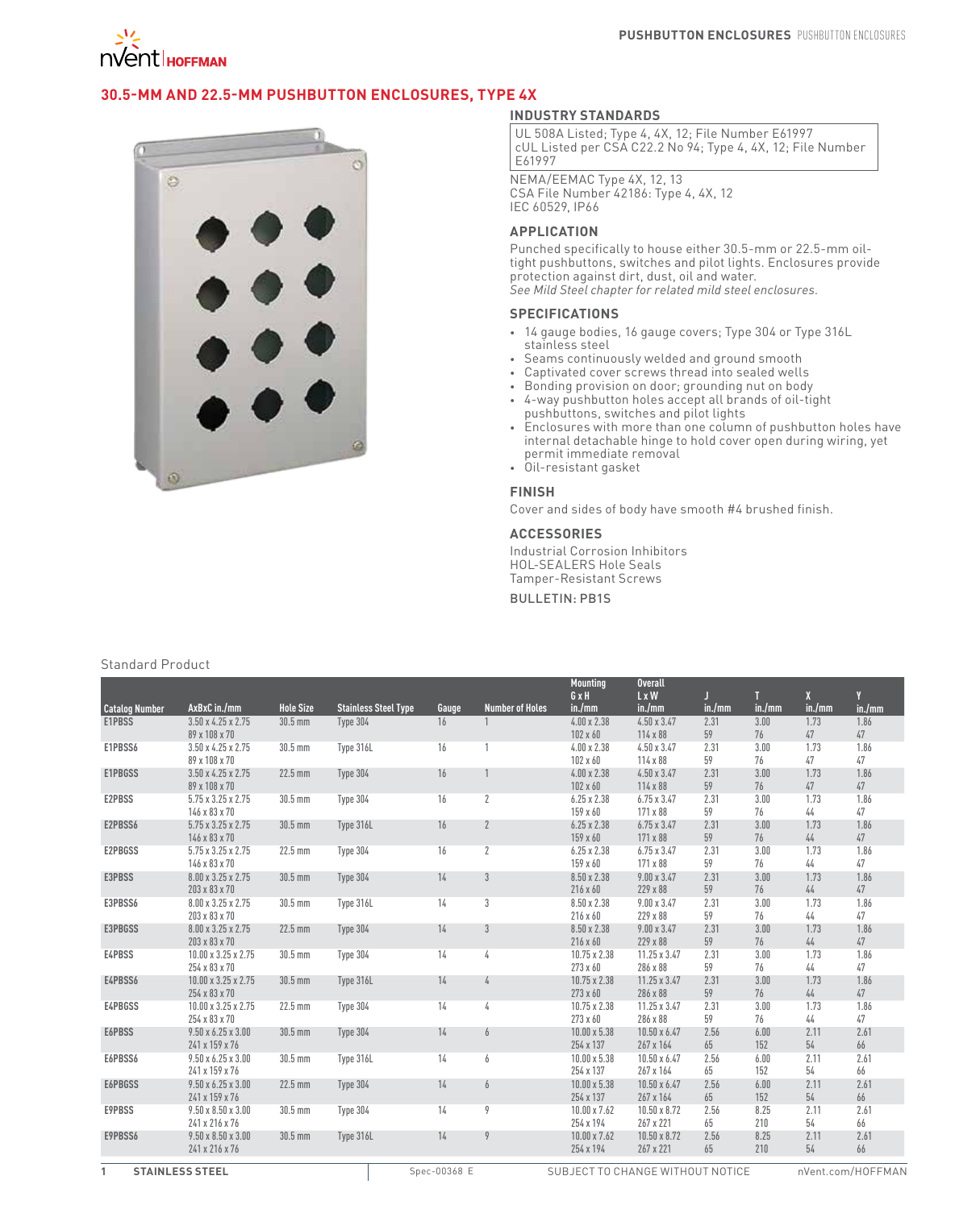

# **30.5-mm and 22.5-mm Pushbutton Enclosures, Type 4X**



### **INDUSTRY STANDARDS**

UL 508A Listed; Type 4, 4X, 12; File Number E61997 cUL Listed per CSA C22.2 No 94; Type 4, 4X, 12; File Number E61997

NEMA/EEMAC Type 4X, 12, 13 CSA File Number 42186: Type 4, 4X, 12 IEC 60529, IP66

### **APPLICATION**

Punched specifically to house either 30.5-mm or 22.5-mm oiltight pushbuttons, switches and pilot lights. Enclosures provide protection against dirt, dust, oil and water. *See Mild Steel chapter for related mild steel enclosures.*

#### **SPECIFICATIONS**

- • 14 gauge bodies, 16 gauge covers; Type 304 or Type 316L stainless steel
- • Seams continuously welded and ground smooth
- Captivated cover screws thread into sealed wells
- • Bonding provision on door; grounding nut on body
- • 4-way pushbutton holes accept all brands of oil-tight pushbuttons, switches and pilot lights
- Enclosures with more than one column of pushbutton holes have internal detachable hinge to hold cover open during wiring, yet permit immediate removal
- • Oil-resistant gasket

### **FINISH**

Cover and sides of body have smooth #4 brushed finish.

## **ACCESSORIES**

Industrial Corrosion Inhibitors HOL-SEALERS Hole Seals Tamper-Resistant Screws

## Bulletin: PB1S

#### Standard Product

|                       |                                                 |                  |                             |       |                        | <b>Mounting</b>                | <b>Overall</b>                 |            |            |              |            |
|-----------------------|-------------------------------------------------|------------------|-----------------------------|-------|------------------------|--------------------------------|--------------------------------|------------|------------|--------------|------------|
|                       |                                                 |                  |                             |       |                        | GxH                            | $L \times W$                   | П          | п          | $\mathbf{X}$ |            |
| <b>Catalog Number</b> | AxBxC in./mm                                    | <b>Hole Size</b> | <b>Stainless Steel Type</b> | Gauge | <b>Number of Holes</b> | in./mm                         | in./mm                         | in./mm     | in./mm     | in./mm       | in./mm     |
| E1PBSS                | $3.50 \times 4.25 \times 2.75$                  | $30.5$ mm        | Type 304                    | 16    |                        | $4.00 \times 2.38$             | $4.50 \times 3.47$             | 2.31       | 3.00       | 1.73         | 1.86       |
|                       | 89 x 108 x 70                                   |                  |                             |       |                        | $102 \times 60$                | 114 x 88                       | 59         | 76         | 47           | 47         |
| E1PBSS6               | $3.50 \times 4.25 \times 2.75$                  | 30.5 mm          | Type 316L                   | 16    |                        | $4.00 \times 2.38$             | $4.50 \times 3.47$             | 2.31       | 3.00       | 1.73         | 1.86       |
|                       | 89 x 108 x 70                                   |                  |                             |       |                        | $102 \times 60$                | 114 x 88                       | 59         | 76         | 47           | 47         |
| E1PBGSS               | $3.50 \times 4.25 \times 2.75$                  | $22.5$ mm        | Type 304                    | 16    |                        | $4.00 \times 2.38$             | $4.50 \times 3.47$             | 2.31       | 3.00       | 1.73         | 1.86       |
|                       | 89 x 108 x 70                                   |                  |                             |       |                        | $102 \times 60$                | 114 x 88                       | 59         | 76         | 47           | 47         |
| <b>E2PBSS</b>         | $5.75 \times 3.25 \times 2.75$                  | 30.5 mm          | Type 304                    | 16    | $\overline{2}$         | $6.25 \times 2.38$             | $6.75 \times 3.47$             | 2.31       | 3.00       | 1.73         | 1.86       |
|                       | 146 x 83 x 70                                   |                  |                             |       |                        | 159 x 60                       | 171 x 88                       | 59         | 76         | 44           | 47         |
| E2PBSS6               | $5.75 \times 3.25 \times 2.75$                  | 30.5 mm          | Type 316L                   | 16    | $\overline{2}$         | $6.25 \times 2.38$             | $6.75 \times 3.47$             | 2.31       | 3.00       | 1.73         | 1.86       |
|                       | 146 x 83 x 70                                   |                  |                             |       |                        | 159 x 60                       | 171 x 88                       | 59         | 76         | 44           | 47         |
| <b>E2PBGSS</b>        | $5.75 \times 3.25 \times 2.75$<br>146 x 83 x 70 | $22.5$ mm        | Type 304                    | 16    | $\overline{2}$         | $6.25 \times 2.38$             | $6.75 \times 3.47$<br>171 x 88 | 2.31<br>59 | 3.00<br>76 | 1.73<br>44   | 1.86<br>47 |
|                       |                                                 |                  |                             |       |                        | 159 x 60                       |                                | 2.31       | 3.00       | 1.73         | 1.86       |
| E3PBSS                | 8.00 x 3.25 x 2.75<br>203 x 83 x 70             | 30.5 mm          | Type 304                    | 14    | 3                      | 8.50 x 2.38<br>$216 \times 60$ | $9.00 \times 3.47$<br>229 x 88 | 59         | 76         | 44           | 47         |
| E3PBSS6               | 8.00 x 3.25 x 2.75                              | 30.5 mm          | Type 316L                   | 14    | 3                      | 8.50 x 2.38                    | $9.00 \times 3.47$             | 2.31       | 3.00       | 1.73         | 1.86       |
|                       | 203 x 83 x 70                                   |                  |                             |       |                        | 216 x 60                       | 229 x 88                       | 59         | 76         | 44           | 47         |
| <b>E3PBGSS</b>        | 8.00 x 3.25 x 2.75                              | $22.5$ mm        | Type 304                    | 14    | $\mathbf{3}$           | 8.50 x 2.38                    | $9.00 \times 3.47$             | 2.31       | 3.00       | 1.73         | 1.86       |
|                       | 203 x 83 x 70                                   |                  |                             |       |                        | $216 \times 60$                | 229 x 88                       | 59         | 76         | 44           | 47         |
| E4PBSS                | 10.00 x 3.25 x 2.75                             | 30.5 mm          | Type 304                    | 14    | 4                      | 10.75 x 2.38                   | 11.25 x 3.47                   | 2.31       | 3.00       | 1.73         | 1.86       |
|                       | 254 x 83 x 70                                   |                  |                             |       |                        | 273 x 60                       | 286 x 88                       | 59         | 76         | 44           | 47         |
| E4PBSS6               | $10.00 \times 3.25 \times 2.75$                 | 30.5 mm          | Type 316L                   | 14    | 4                      | 10.75 x 2.38                   | $11.25 \times 3.47$            | 2.31       | 3.00       | 1.73         | 1.86       |
|                       | 254 x 83 x 70                                   |                  |                             |       |                        | 273 x 60                       | 286 x 88                       | 59         | 76         | 44           | 47         |
| E4PBGSS               | $10.00 \times 3.25 \times 2.75$                 | 22.5 mm          | Type 304                    | 14    | 4                      | 10.75 x 2.38                   | 11.25 x 3.47                   | 2.31       | 3.00       | 1.73         | 1.86       |
|                       | 254 x 83 x 70                                   |                  |                             |       |                        | 273 x 60                       | 286 x 88                       | 59         | 76         | 44           | 47         |
| E6PBSS                | $9.50 \times 6.25 \times 3.00$                  | 30.5 mm          | Type 304                    | 14    | 6                      | $10.00 \times 5.38$            | $10.50 \times 6.47$            | 2.56       | 6.00       | 2.11         | 2.61       |
|                       | 241 x 159 x 76                                  |                  |                             |       |                        | 254 x 137                      | 267 x 164                      | 65         | 152        | $54\,$       | 66         |
| E6PBSS6               | $9.50 \times 6.25 \times 3.00$                  | 30.5 mm          | Type 316L                   | 14    | 6                      | $10.00 \times 5.38$            | 10.50 x 6.47                   | 2.56       | 6.00       | 2.11         | 2.61       |
|                       | 241 x 159 x 76                                  |                  |                             |       |                        | 254 x 137                      | 267 x 164                      | 65         | 152        | 54           | 66         |
| E6PBGSS               | $9.50 \times 6.25 \times 3.00$                  | $22.5$ mm        | Type 304                    | 14    | 6                      | $10.00 \times 5.38$            | $10.50 \times 6.47$            | 2.56       | 6.00       | 2.11         | 2.61       |
|                       | 241 x 159 x 76                                  |                  |                             |       |                        | 254 x 137                      | 267 x 164                      | 65         | 152        | 54           | 66         |
| E9PBSS                | $9.50 \times 8.50 \times 3.00$                  | 30.5 mm          | Type 304                    | 14    | 9                      | 10.00 x 7.62                   | 10.50 x 8.72                   | 2.56       | 8.25       | 2.11         | 2.61       |
|                       | 241 x 216 x 76                                  |                  |                             |       |                        | 254 x 194                      | 267 x 221                      | 65         | 210        | 54           | 66         |
| E9PBSS6               | $9.50 \times 8.50 \times 3.00$                  | 30.5 mm          | Type 316L                   | 14    | 9                      | $10.00 \times 7.62$            | 10.50 x 8.72                   | 2.56       | 8.25       | 2.11         | 2.61       |
|                       | 241 x 216 x 76                                  |                  |                             |       |                        | 254 x 194                      | 267 x 221                      | 65         | 210        | 54           | 66         |
|                       |                                                 |                  |                             |       |                        |                                |                                |            |            |              |            |